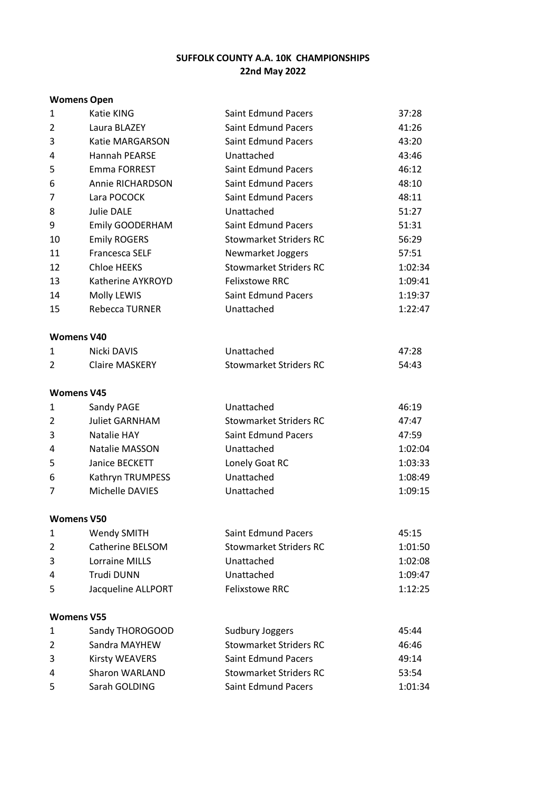# **SUFFOLK COUNTY A.A. 10K CHAMPIONSHIPS 22nd May 2022**

## **Womens Open**

| $\mathbf{1}$   | Katie KING            | <b>Saint Edmund Pacers</b>    | 37:28   |
|----------------|-----------------------|-------------------------------|---------|
| $\overline{2}$ | Laura BLAZEY          | <b>Saint Edmund Pacers</b>    | 41:26   |
| 3              | Katie MARGARSON       | <b>Saint Edmund Pacers</b>    | 43:20   |
| 4              | Hannah PEARSE         | Unattached                    | 43:46   |
| 5              | Emma FORREST          | <b>Saint Edmund Pacers</b>    | 46:12   |
| 6              | Annie RICHARDSON      | <b>Saint Edmund Pacers</b>    | 48:10   |
| 7              | Lara POCOCK           | <b>Saint Edmund Pacers</b>    | 48:11   |
| 8              | Julie DALE            | Unattached                    | 51:27   |
| 9              | Emily GOODERHAM       | <b>Saint Edmund Pacers</b>    | 51:31   |
| 10             | <b>Emily ROGERS</b>   | <b>Stowmarket Striders RC</b> | 56:29   |
| 11             | Francesca SELF        | Newmarket Joggers             | 57:51   |
| 12             | Chloe HEEKS           | <b>Stowmarket Striders RC</b> | 1:02:34 |
| 13             | Katherine AYKROYD     | <b>Felixstowe RRC</b>         | 1:09:41 |
| 14             | Molly LEWIS           | <b>Saint Edmund Pacers</b>    | 1:19:37 |
| 15             | Rebecca TURNER        | Unattached                    | 1:22:47 |
|                | <b>Womens V40</b>     |                               |         |
| $\mathbf{1}$   | <b>Nicki DAVIS</b>    | Unattached                    | 47:28   |
| 2              | <b>Claire MASKERY</b> | <b>Stowmarket Striders RC</b> | 54:43   |
|                | <b>Womens V45</b>     |                               |         |
| 1              | Sandy PAGE            | Unattached                    | 46:19   |
| 2              | <b>Juliet GARNHAM</b> | <b>Stowmarket Striders RC</b> | 47:47   |
| 3              | Natalie HAY           | <b>Saint Edmund Pacers</b>    | 47:59   |
| 4              | <b>Natalie MASSON</b> | Unattached                    | 1:02:04 |
| 5              | Janice BECKETT        | Lonely Goat RC                | 1:03:33 |
| 6              | Kathryn TRUMPESS      | Unattached                    | 1:08:49 |
| 7              | Michelle DAVIES       | Unattached                    | 1:09:15 |
|                | <b>Womens V50</b>     |                               |         |
| 1              | <b>Wendy SMITH</b>    | Saint Edmund Pacers           | 45:15   |
| $\overline{2}$ | Catherine BELSOM      | <b>Stowmarket Striders RC</b> | 1:01:50 |
| 3              | <b>Lorraine MILLS</b> | Unattached                    | 1:02:08 |
| 4              | Trudi DUNN            | Unattached                    | 1:09:47 |
| 5              | Jacqueline ALLPORT    | <b>Felixstowe RRC</b>         | 1:12:25 |
|                | <b>Womens V55</b>     |                               |         |
| 1              | Sandy THOROGOOD       | <b>Sudbury Joggers</b>        | 45:44   |
| $\overline{2}$ | Sandra MAYHEW         | <b>Stowmarket Striders RC</b> | 46:46   |
| 3              | Kirsty WEAVERS        | <b>Saint Edmund Pacers</b>    | 49:14   |
| 4              | Sharon WARLAND        | <b>Stowmarket Striders RC</b> | 53:54   |
| 5              | Sarah GOLDING         | <b>Saint Edmund Pacers</b>    | 1:01:34 |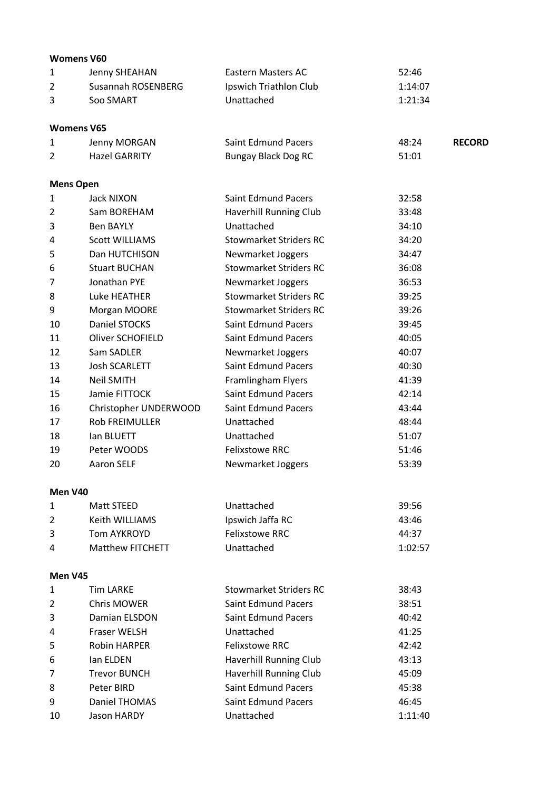|         | <b>Womens V60</b>       |                               |         |               |
|---------|-------------------------|-------------------------------|---------|---------------|
| 1       | Jenny SHEAHAN           | Eastern Masters AC            | 52:46   |               |
| 2       | Susannah ROSENBERG      | Ipswich Triathlon Club        | 1:14:07 |               |
| 3       | Soo SMART               | Unattached                    | 1:21:34 |               |
|         | <b>Womens V65</b>       |                               |         |               |
| 1       | Jenny MORGAN            | <b>Saint Edmund Pacers</b>    | 48:24   | <b>RECORD</b> |
| 2       | <b>Hazel GARRITY</b>    | <b>Bungay Black Dog RC</b>    | 51:01   |               |
|         | <b>Mens Open</b>        |                               |         |               |
| 1       | Jack NIXON              | <b>Saint Edmund Pacers</b>    | 32:58   |               |
| 2       | Sam BOREHAM             | Haverhill Running Club        | 33:48   |               |
| 3       | <b>Ben BAYLY</b>        | Unattached                    | 34:10   |               |
| 4       | <b>Scott WILLIAMS</b>   | <b>Stowmarket Striders RC</b> | 34:20   |               |
| 5       | Dan HUTCHISON           | Newmarket Joggers             | 34:47   |               |
| 6       | <b>Stuart BUCHAN</b>    | <b>Stowmarket Striders RC</b> | 36:08   |               |
| 7       | Jonathan PYE            | Newmarket Joggers             | 36:53   |               |
| 8       | Luke HEATHER            | <b>Stowmarket Striders RC</b> | 39:25   |               |
| 9       | Morgan MOORE            | <b>Stowmarket Striders RC</b> | 39:26   |               |
| 10      | Daniel STOCKS           | <b>Saint Edmund Pacers</b>    | 39:45   |               |
| 11      | <b>Oliver SCHOFIELD</b> | <b>Saint Edmund Pacers</b>    | 40:05   |               |
| 12      | Sam SADLER              | Newmarket Joggers             | 40:07   |               |
| 13      | <b>Josh SCARLETT</b>    | <b>Saint Edmund Pacers</b>    | 40:30   |               |
| 14      | <b>Neil SMITH</b>       | Framlingham Flyers            | 41:39   |               |
| 15      | Jamie FITTOCK           | <b>Saint Edmund Pacers</b>    | 42:14   |               |
| 16      | Christopher UNDERWOOD   | <b>Saint Edmund Pacers</b>    | 43:44   |               |
| 17      | <b>Rob FREIMULLER</b>   | Unattached                    | 48:44   |               |
| 18      | <b>Ian BLUETT</b>       | Unattached                    | 51:07   |               |
| 19      | Peter WOODS             | <b>Felixstowe RRC</b>         | 51:46   |               |
| 20      | <b>Aaron SELF</b>       | Newmarket Joggers             | 53:39   |               |
| Men V40 |                         |                               |         |               |
| 1       | <b>Matt STEED</b>       | Unattached                    | 39:56   |               |
| 2       | Keith WILLIAMS          | Ipswich Jaffa RC              | 43:46   |               |
| 3       | <b>Tom AYKROYD</b>      | <b>Felixstowe RRC</b>         | 44:37   |               |
| 4       | <b>Matthew FITCHETT</b> | Unattached                    | 1:02:57 |               |
| Men V45 |                         |                               |         |               |
|         | Time 1100F              |                               | າດ. າາ  |               |

| 1              | <b>Tim LARKE</b>    | <b>Stowmarket Striders RC</b> | 38:43   |
|----------------|---------------------|-------------------------------|---------|
| $\overline{2}$ | Chris MOWER         | <b>Saint Edmund Pacers</b>    | 38:51   |
| 3              | Damian ELSDON       | <b>Saint Edmund Pacers</b>    | 40:42   |
| 4              | Fraser WELSH        | Unattached                    | 41:25   |
| 5              | <b>Robin HARPER</b> | <b>Felixstowe RRC</b>         | 42:42   |
| 6              | lan ELDEN           | Haverhill Running Club        | 43:13   |
| $\overline{7}$ | <b>Trevor BUNCH</b> | Haverhill Running Club        | 45:09   |
| 8              | Peter BIRD          | <b>Saint Edmund Pacers</b>    | 45:38   |
| 9              | Daniel THOMAS       | <b>Saint Edmund Pacers</b>    | 46:45   |
| 10             | Jason HARDY         | Unattached                    | 1:11:40 |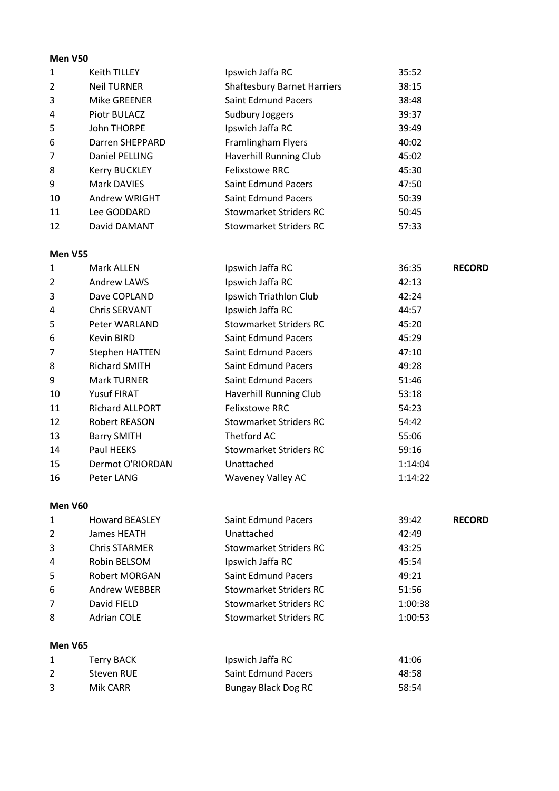#### **Men V50**

| 1              | <b>Keith TILLEY</b>  | Ipswich Jaffa RC                   | 35:52 |
|----------------|----------------------|------------------------------------|-------|
| $\overline{2}$ | <b>Neil TURNER</b>   | <b>Shaftesbury Barnet Harriers</b> | 38:15 |
| 3              | Mike GREENER         | <b>Saint Edmund Pacers</b>         | 38:48 |
| 4              | Piotr BULACZ         | Sudbury Joggers                    | 39:37 |
| 5              | <b>John THORPE</b>   | Ipswich Jaffa RC                   | 39:49 |
| 6              | Darren SHEPPARD      | Framlingham Flyers                 | 40:02 |
| $\overline{7}$ | Daniel PELLING       | Haverhill Running Club             | 45:02 |
| 8              | <b>Kerry BUCKLEY</b> | <b>Felixstowe RRC</b>              | 45:30 |
| 9              | Mark DAVIES          | <b>Saint Edmund Pacers</b>         | 47:50 |
| 10             | Andrew WRIGHT        | <b>Saint Edmund Pacers</b>         | 50:39 |
| 11             | Lee GODDARD          | <b>Stowmarket Striders RC</b>      | 50:45 |
| 12             | David DAMANT         | <b>Stowmarket Striders RC</b>      | 57:33 |

#### **Men V55**

| 1              | Mark ALLEN            | Ipswich Jaffa RC           | 36:35   | <b>RECORD</b> |
|----------------|-----------------------|----------------------------|---------|---------------|
| $\overline{2}$ | Andrew LAWS           | Ipswich Jaffa RC           | 42:13   |               |
| 3              | Dave COPLAND          | Ipswich Triathlon Club     | 42:24   |               |
| 4              | <b>Chris SERVANT</b>  | Ipswich Jaffa RC           | 44:57   |               |
| 5              | Peter WARLAND         | Stowmarket Striders RC     | 45:20   |               |
| 6              | Kevin BIRD            | <b>Saint Edmund Pacers</b> | 45:29   |               |
| 7              | <b>Stephen HATTEN</b> | <b>Saint Edmund Pacers</b> | 47:10   |               |
| 8              | <b>Richard SMITH</b>  | <b>Saint Edmund Pacers</b> | 49:28   |               |
| 9              | <b>Mark TURNER</b>    | <b>Saint Edmund Pacers</b> | 51:46   |               |
| 10             | Yusuf FIRAT           | Haverhill Running Club     | 53:18   |               |
| 11             | Richard ALLPORT       | <b>Felixstowe RRC</b>      | 54:23   |               |
| 12             | Robert REASON         | Stowmarket Striders RC     | 54:42   |               |
| 13             | <b>Barry SMITH</b>    | Thetford AC                | 55:06   |               |
| 14             | Paul HEEKS            | Stowmarket Striders RC     | 59:16   |               |
| 15             | Dermot O'RIORDAN      | Unattached                 | 1:14:04 |               |
| 16             | Peter LANG            | <b>Waveney Valley AC</b>   | 1:14:22 |               |
|                |                       |                            |         |               |

### **Men V60**

| 1              | <b>Howard BEASLEY</b> | <b>Saint Edmund Pacers</b> | 39:42   | <b>RECORD</b> |
|----------------|-----------------------|----------------------------|---------|---------------|
| $\overline{2}$ | James HEATH           | Unattached                 | 42:49   |               |
| 3              | <b>Chris STARMER</b>  | Stowmarket Striders RC     | 43:25   |               |
| 4              | Robin BELSOM          | Ipswich Jaffa RC           | 45:54   |               |
| 5              | Robert MORGAN         | <b>Saint Edmund Pacers</b> | 49:21   |               |
| 6              | Andrew WEBBER         | Stowmarket Striders RC     | 51:56   |               |
| $\overline{7}$ | David FIELD           | Stowmarket Striders RC     | 1:00:38 |               |
| 8              | <b>Adrian COLE</b>    | Stowmarket Striders RC     | 1:00:53 |               |
|                |                       |                            |         |               |
| Men V65        |                       |                            |         |               |

| Terry BACK | Ipswich Jaffa RC           | 41:06 |
|------------|----------------------------|-------|
| Steven RUE | <b>Saint Edmund Pacers</b> | 48:58 |
| Mik CARR   | Bungay Black Dog RC        | 58:54 |